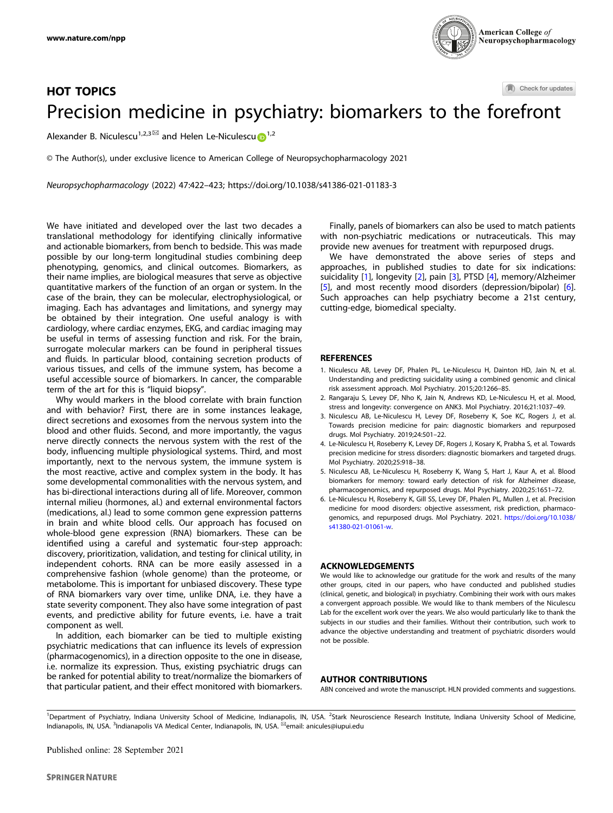

# Check for updates HOT TOPICS Precision medicine in psychiatry: biomarkers to the f[or](http://crossmark.crossref.org/dialog/?doi=10.1038/s41386-021-01183-3&domain=pdf)efront

Alexander B. Niculescu<sup>[1](http://orcid.org/0000-0002-2530-5789),2,3 $\boxtimes$ </sup> and Helen Le-Niculescu $\bigcap^{1,2}$ 

© The Author(s), under exclusive licence to American College of Neuropsychopharmacology 2021

Neuropsychopharmacology (2022) 47:422–423;<https://doi.org/10.1038/s41386-021-01183-3>

We have initiated and developed over the last two decades a translational methodology for identifying clinically informative and actionable biomarkers, from bench to bedside. This was made possible by our long-term longitudinal studies combining deep phenotyping, genomics, and clinical outcomes. Biomarkers, as their name implies, are biological measures that serve as objective quantitative markers of the function of an organ or system. In the case of the brain, they can be molecular, electrophysiological, or imaging. Each has advantages and limitations, and synergy may be obtained by their integration. One useful analogy is with cardiology, where cardiac enzymes, EKG, and cardiac imaging may be useful in terms of assessing function and risk. For the brain, surrogate molecular markers can be found in peripheral tissues and fluids. In particular blood, containing secretion products of various tissues, and cells of the immune system, has become a useful accessible source of biomarkers. In cancer, the comparable term of the art for this is "liquid biopsy".

Why would markers in the blood correlate with brain function and with behavior? First, there are in some instances leakage, direct secretions and exosomes from the nervous system into the blood and other fluids. Second, and more importantly, the vagus nerve directly connects the nervous system with the rest of the body, influencing multiple physiological systems. Third, and most importantly, next to the nervous system, the immune system is the most reactive, active and complex system in the body. It has some developmental commonalities with the nervous system, and has bi-directional interactions during all of life. Moreover, common internal milieu (hormones, al.) and external environmental factors (medications, al.) lead to some common gene expression patterns in brain and white blood cells. Our approach has focused on whole-blood gene expression (RNA) biomarkers. These can be identified using a careful and systematic four-step approach: discovery, prioritization, validation, and testing for clinical utility, in independent cohorts. RNA can be more easily assessed in a comprehensive fashion (whole genome) than the proteome, or metabolome. This is important for unbiased discovery. These type of RNA biomarkers vary over time, unlike DNA, i.e. they have a state severity component. They also have some integration of past events, and predictive ability for future events, i.e. have a trait component as well.

In addition, each biomarker can be tied to multiple existing psychiatric medications that can influence its levels of expression (pharmacogenomics), in a direction opposite to the one in disease, i.e. normalize its expression. Thus, existing psychiatric drugs can be ranked for potential ability to treat/normalize the biomarkers of that particular patient, and their effect monitored with biomarkers.

Finally, panels of biomarkers can also be used to match patients with non-psychiatric medications or nutraceuticals. This may provide new avenues for treatment with repurposed drugs.

We have demonstrated the above series of steps and approaches, in published studies to date for six indications: suicidality [1], longevity [2], pain [3], PTSD [4], memory/Alzheimer [5], and most recently mood disorders (depression/bipolar) [6]. Such approaches can help psychiatry become a 21st century, cutting-edge, biomedical specialty.

### **REFERENCES**

- 1. Niculescu AB, Levey DF, Phalen PL, Le-Niculescu H, Dainton HD, Jain N, et al. Understanding and predicting suicidality using a combined genomic and clinical risk assessment approach. Mol Psychiatry. 2015;20:1266–85.
- 2. Rangaraju S, Levey DF, Nho K, Jain N, Andrews KD, Le-Niculescu H, et al. Mood, stress and longevity: convergence on ANK3. Mol Psychiatry. 2016;21:1037–49.
- 3. Niculescu AB, Le-Niculescu H, Levey DF, Roseberry K, Soe KC, Rogers J, et al. Towards precision medicine for pain: diagnostic biomarkers and repurposed drugs. Mol Psychiatry. 2019;24:501–22.
- 4. Le-Niculescu H, Roseberry K, Levey DF, Rogers J, Kosary K, Prabha S, et al. Towards precision medicine for stress disorders: diagnostic biomarkers and targeted drugs. Mol Psychiatry. 2020;25:918–38.
- 5. Niculescu AB, Le-Niculescu H, Roseberry K, Wang S, Hart J, Kaur A, et al. Blood biomarkers for memory: toward early detection of risk for Alzheimer disease, pharmacogenomics, and repurposed drugs. Mol Psychiatry. 2020;25:1651–72.
- 6. Le-Niculescu H, Roseberry K, Gill SS, Levey DF, Phalen PL, Mullen J, et al. Precision medicine for mood disorders: objective assessment, risk prediction, pharmacogenomics, and repurposed drugs. Mol Psychiatry. 2021. [https://doi.org/10.1038/](https://doi.org/10.1038/s41380-021-01061-w) [s41380-021-01061-w](https://doi.org/10.1038/s41380-021-01061-w).

### ACKNOWLEDGEMENTS

We would like to acknowledge our gratitude for the work and results of the many other groups, cited in our papers, who have conducted and published studies (clinical, genetic, and biological) in psychiatry. Combining their work with ours makes a convergent approach possible. We would like to thank members of the Niculescu Lab for the excellent work over the years. We also would particularly like to thank the subjects in our studies and their families. Without their contribution, such work to advance the objective understanding and treatment of psychiatric disorders would not be possible.

#### AUTHOR CONTRIBUTIONS

ABN conceived and wrote the manuscript. HLN provided comments and suggestions.

<sup>&</sup>lt;sup>1</sup>Department of Psychiatry, Indiana University School of Medicine, Indianapolis, IN, USA. <sup>2</sup>Stark Neuroscience Research Institute, Indiana University School of Medicine, Indianapolis, IN, USA. <sup>3</sup>Indianapolis VA Medical Center, Indianapolis, IN, USA. <sup>⊠</sup>email: [anicules@iupui.edu](mailto:anicules@iupui.edu)